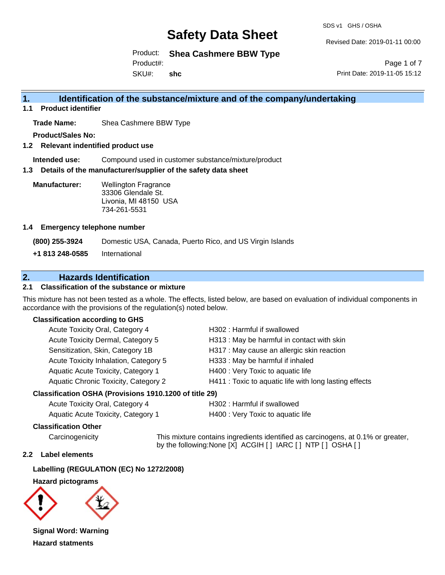SDS v1 GHS / OSHA

Revised Date: 2019-01-11 00:00

Product: **Shea Cashmere BBW Type**

Product#:

SKU#: **shc**

Page 1 of 7 Print Date: 2019-11-05 15:12

### **1. Identification of the substance/mixture and of the company/undertaking**

**1.1 Product identifier**

**Trade Name:** Shea Cashmere BBW Type

**Product/Sales No:**

**1.2 Relevant indentified product use**

**Intended use:** Compound used in customer substance/mixture/product

**1.3 Details of the manufacturer/supplier of the safety data sheet**

**Manufacturer:** Wellington Fragrance 33306 Glendale St. Livonia, MI 48150 USA 734-261-5531

#### **1.4 Emergency telephone number**

**(800) 255-3924** Domestic USA, Canada, Puerto Rico, and US Virgin Islands **+1 813 248-0585** International

### **2. Hazards Identification**

#### **2.1 Classification of the substance or mixture**

This mixture has not been tested as a whole. The effects, listed below, are based on evaluation of individual components in accordance with the provisions of the regulation(s) noted below.

#### **Classification according to GHS**

| Acute Toxicity Oral, Category 4       | H302 : Harmful if swallowed                            |
|---------------------------------------|--------------------------------------------------------|
| Acute Toxicity Dermal, Category 5     | H313: May be harmful in contact with skin              |
| Sensitization, Skin, Category 1B      | H317 : May cause an allergic skin reaction             |
| Acute Toxicity Inhalation, Category 5 | H333: May be harmful if inhaled                        |
| Aquatic Acute Toxicity, Category 1    | H400 : Very Toxic to aquatic life                      |
| Aquatic Chronic Toxicity, Category 2  | H411 : Toxic to aquatic life with long lasting effects |
|                                       |                                                        |

#### **Classification OSHA (Provisions 1910.1200 of title 29)**

| Acute Toxicity Oral, Category 4    |  |
|------------------------------------|--|
| Aquatic Acute Toxicity, Category 1 |  |

H302 : Harmful if swallowed H400 : Very Toxic to aquatic life

#### **Classification Other**

Carcinogenicity This mixture contains ingredients identified as carcinogens, at 0.1% or greater, by the following:None [X] ACGIH [ ] IARC [ ] NTP [ ] OSHA [ ]

#### **2.2 Label elements**

#### **Labelling (REGULATION (EC) No 1272/2008)**

#### **Hazard pictograms**



**Signal Word: Warning Hazard statments**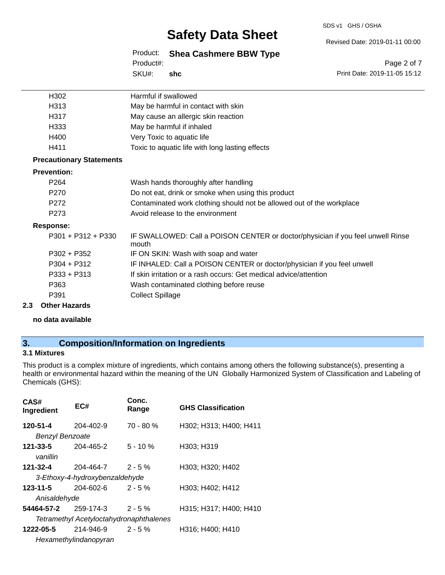#### SDS v1 GHS / OSHA

## **Safety Data Sheet**

Revised Date: 2019-01-11 00:00

Product: **Shea Cashmere BBW Type** SKU#: Product#: **shc**

Page 2 of 7 Print Date: 2019-11-05 15:12

| H302                            | Harmful if swallowed                                                                     |
|---------------------------------|------------------------------------------------------------------------------------------|
| H313                            | May be harmful in contact with skin                                                      |
| H317                            | May cause an allergic skin reaction                                                      |
| H333                            | May be harmful if inhaled                                                                |
| H400                            | Very Toxic to aquatic life                                                               |
| H411                            | Toxic to aquatic life with long lasting effects                                          |
| <b>Precautionary Statements</b> |                                                                                          |
| <b>Prevention:</b>              |                                                                                          |
| P <sub>264</sub>                | Wash hands thoroughly after handling                                                     |
| P <sub>270</sub>                | Do not eat, drink or smoke when using this product                                       |
| P272                            | Contaminated work clothing should not be allowed out of the workplace                    |
| P <sub>273</sub>                | Avoid release to the environment                                                         |
| <b>Response:</b>                |                                                                                          |
| $P301 + P312 + P330$            | IF SWALLOWED: Call a POISON CENTER or doctor/physician if you feel unwell Rinse<br>mouth |
| P302 + P352                     | IF ON SKIN: Wash with soap and water                                                     |
| P304 + P312                     | IF INHALED: Call a POISON CENTER or doctor/physician if you feel unwell                  |
| $P333 + P313$                   | If skin irritation or a rash occurs: Get medical advice/attention                        |
| P363                            | Wash contaminated clothing before reuse                                                  |
| P391                            | <b>Collect Spillage</b>                                                                  |
|                                 |                                                                                          |

#### **2.3 Other Hazards**

**no data available**

### **3. Composition/Information on Ingredients**

#### **3.1 Mixtures**

This product is a complex mixture of ingredients, which contains among others the following substance(s), presenting a health or environmental hazard within the meaning of the UN Globally Harmonized System of Classification and Labeling of Chemicals (GHS):

| CAS#<br>Ingredient                             | EC#             | Conc.<br>Range | <b>GHS Classification</b> |  |
|------------------------------------------------|-----------------|----------------|---------------------------|--|
| 120-51-4                                       | 204-402-9       | $70 - 80%$     | H302; H313; H400; H411    |  |
| <b>Benzyl Benzoate</b>                         |                 |                |                           |  |
| 121-33-5                                       | 204-465-2       | $5 - 10 \%$    | H303; H319                |  |
| vanillin                                       |                 |                |                           |  |
| 121-32-4                                       | 204-464-7       | $2 - 5%$       | H303; H320; H402          |  |
| 3-Ethoxy-4-hydroxybenzaldehyde                 |                 |                |                           |  |
| 123-11-5                                       | $204 - 602 - 6$ | $2 - 5%$       | H303; H402; H412          |  |
| Anisaldehyde                                   |                 |                |                           |  |
| 54464-57-2                                     | 259-174-3       | $2 - 5%$       | H315; H317; H400; H410    |  |
| <b>Tetramethyl Acetyloctahydronaphthalenes</b> |                 |                |                           |  |
| 1222-05-5                                      | 214-946-9       | $2 - 5%$       | H316; H400; H410          |  |
| Hexamethylindanopyran                          |                 |                |                           |  |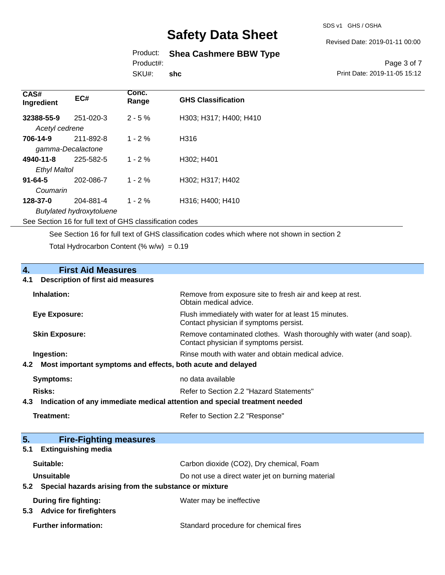SDS v1 GHS / OSHA

Revised Date: 2019-01-11 00:00

### Product: **Shea Cashmere BBW Type**

Product#:

SKU#: **shc**

#### Page 3 of 7 Print Date: 2019-11-05 15:12

| CAS#<br>Ingredient                                       | EC#       | Conc.<br>Range | <b>GHS Classification</b> |
|----------------------------------------------------------|-----------|----------------|---------------------------|
| 32388-55-9                                               | 251-020-3 | $2 - 5%$       | H303; H317; H400; H410    |
| Acetyl cedrene                                           |           |                |                           |
| 706-14-9                                                 | 211-892-8 | $1 - 2\%$      | H316                      |
| gamma-Decalactone                                        |           |                |                           |
| 4940-11-8                                                | 225-582-5 | $1 - 2 \%$     | H302; H401                |
| <b>Ethyl Maltol</b>                                      |           |                |                           |
| $91 - 64 - 5$                                            | 202-086-7 | $1 - 2\%$      | H302; H317; H402          |
| Coumarin                                                 |           |                |                           |
| 128-37-0                                                 | 204-881-4 | $1 - 2\%$      | H316; H400; H410          |
| <b>Butylated hydroxytoluene</b>                          |           |                |                           |
| See Section 16 for full text of GHS classification codes |           |                |                           |
|                                                          |           |                |                           |

See Section 16 for full text of GHS classification codes which where not shown in section 2

Total Hydrocarbon Content (%  $w/w$ ) = 0.19

# **4.** First Aid Measures<br>**4.1** Description of first aid meas

#### **4.1 Description of first aid measures**

| Inhalation:                                                     | Remove from exposure site to fresh air and keep at rest.<br>Obtain medical advice.                            |
|-----------------------------------------------------------------|---------------------------------------------------------------------------------------------------------------|
| Eye Exposure:                                                   | Flush immediately with water for at least 15 minutes.<br>Contact physician if symptoms persist.               |
| <b>Skin Exposure:</b>                                           | Remove contaminated clothes. Wash thoroughly with water (and soap).<br>Contact physician if symptoms persist. |
| Ingestion:                                                      | Rinse mouth with water and obtain medical advice.                                                             |
| 4.2 Most important symptoms and effects, both acute and delayed |                                                                                                               |
| Symptoms:                                                       | no data available                                                                                             |
| <b>Risks:</b>                                                   | Refer to Section 2.2 "Hazard Statements"                                                                      |
|                                                                 | t 2 - hadiaatian af amu immadiate madiaal attautian and anaajal tuastmant naadad                              |

- **4.3 Indication of any immediate medical attention and special treatment needed**
	-

**Treatment:** Refer to Section 2.2 "Response"

| 5.<br><b>Fire-Fighting measures</b>                       |                                                   |
|-----------------------------------------------------------|---------------------------------------------------|
| 5.1<br><b>Extinguishing media</b>                         |                                                   |
| Suitable:                                                 | Carbon dioxide (CO2), Dry chemical, Foam          |
| Unsuitable                                                | Do not use a direct water jet on burning material |
| 5.2 Special hazards arising from the substance or mixture |                                                   |
| During fire fighting:                                     | Water may be ineffective                          |
| 5.3<br><b>Advice for firefighters</b>                     |                                                   |
| <b>Further information:</b>                               | Standard procedure for chemical fires             |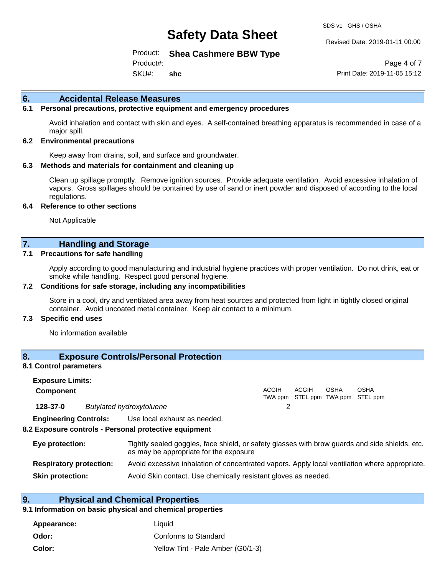SDS v1 GHS / OSHA

Revised Date: 2019-01-11 00:00

Product: **Shea Cashmere BBW Type**

SKU#: Product#: **shc**

Page 4 of 7 Print Date: 2019-11-05 15:12

#### **6. Accidental Release Measures**

#### **6.1 Personal precautions, protective equipment and emergency procedures**

Avoid inhalation and contact with skin and eyes. A self-contained breathing apparatus is recommended in case of a major spill.

#### **6.2 Environmental precautions**

Keep away from drains, soil, and surface and groundwater.

#### **6.3 Methods and materials for containment and cleaning up**

Clean up spillage promptly. Remove ignition sources. Provide adequate ventilation. Avoid excessive inhalation of vapors. Gross spillages should be contained by use of sand or inert powder and disposed of according to the local regulations.

#### **6.4 Reference to other sections**

Not Applicable

### **7. Handling and Storage**

#### **7.1 Precautions for safe handling**

Apply according to good manufacturing and industrial hygiene practices with proper ventilation. Do not drink, eat or smoke while handling. Respect good personal hygiene.

#### **7.2 Conditions for safe storage, including any incompatibilities**

Store in a cool, dry and ventilated area away from heat sources and protected from light in tightly closed original container. Avoid uncoated metal container. Keep air contact to a minimum.

#### **7.3 Specific end uses**

No information available

#### **8. Exposure Controls/Personal Protection**

#### **8.1 Control parameters**

| <b>Exposure Limits:</b><br><b>Component</b> |                                                                                                                                          | <b>ACGIH</b> | ACGIH | <b>OSHA</b> | <b>OSHA</b><br>TWA ppm STEL ppm TWA ppm STEL ppm |  |
|---------------------------------------------|------------------------------------------------------------------------------------------------------------------------------------------|--------------|-------|-------------|--------------------------------------------------|--|
| 128-37-0                                    | <b>Butylated hydroxytoluene</b>                                                                                                          |              |       |             |                                                  |  |
|                                             | <b>Engineering Controls:</b> Use local exhaust as needed.<br>8.2 Exposure controls - Personal protective equipment                       |              |       |             |                                                  |  |
| Eye protection:                             | Tightly sealed goggles, face shield, or safety glasses with brow guards and side shields, etc.<br>as may be appropriate for the exposure |              |       |             |                                                  |  |

| <b>Respiratory protection:</b> | Avoid excessive inhalation of concentrated vapors. Apply local ventilation where appropriate. |  |
|--------------------------------|-----------------------------------------------------------------------------------------------|--|

**Skin protection:** Avoid Skin contact. Use chemically resistant gloves as needed.

### **9. Physical and Chemical Properties**

#### **9.1 Information on basic physical and chemical properties**

| Appearance: | Liauid                            |
|-------------|-----------------------------------|
| Odor:       | Conforms to Standard              |
| Color:      | Yellow Tint - Pale Amber (G0/1-3) |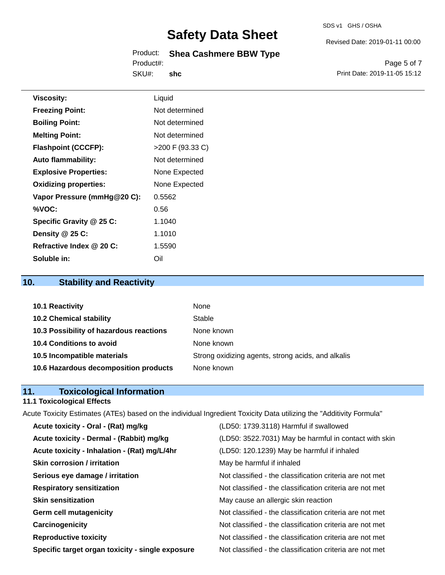#### Product: **Shea Cashmere BBW Type** Product#:

SKU#: **shc**

Page 5 of 7 Print Date: 2019-11-05 15:12

Revised Date: 2019-01-11 00:00

| <b>Viscosity:</b>            | Liquid             |
|------------------------------|--------------------|
| <b>Freezing Point:</b>       | Not determined     |
| <b>Boiling Point:</b>        | Not determined     |
| <b>Melting Point:</b>        | Not determined     |
| <b>Flashpoint (CCCFP):</b>   | $>200$ F (93.33 C) |
| <b>Auto flammability:</b>    | Not determined     |
| <b>Explosive Properties:</b> | None Expected      |
| <b>Oxidizing properties:</b> | None Expected      |
| Vapor Pressure (mmHg@20 C):  | 0.5562             |
| %VOC:                        | 0.56               |
| Specific Gravity @ 25 C:     | 1.1040             |
| Density @ 25 C:              | 1.1010             |
| Refractive Index @ 20 C:     | 1.5590             |

## **10. Stability and Reactivity**

**Soluble in:** Oil

| 10.1 Reactivity                         | <b>None</b>                                        |
|-----------------------------------------|----------------------------------------------------|
| <b>10.2 Chemical stability</b>          | Stable                                             |
| 10.3 Possibility of hazardous reactions | None known                                         |
| 10.4 Conditions to avoid                | None known                                         |
| 10.5 Incompatible materials             | Strong oxidizing agents, strong acids, and alkalis |
| 10.6 Hazardous decomposition products   | None known                                         |

### **11. Toxicological Information**

#### **11.1 Toxicological Effects**

Acute Toxicity Estimates (ATEs) based on the individual Ingredient Toxicity Data utilizing the "Additivity Formula" **Acute toxicity - Oral - (Rat) mg/kg** (LD50: 1739.3118) Harmful if swallowed

| Acute toxicity - Oral - (Rat) mg/kg              | (LD50: 1739.3118) Harmful if swallowed                   |
|--------------------------------------------------|----------------------------------------------------------|
| Acute toxicity - Dermal - (Rabbit) mg/kg         | (LD50: 3522.7031) May be harmful in contact with skin    |
| Acute toxicity - Inhalation - (Rat) mg/L/4hr     | (LD50: 120.1239) May be harmful if inhaled               |
| <b>Skin corrosion / irritation</b>               | May be harmful if inhaled                                |
| Serious eye damage / irritation                  | Not classified - the classification criteria are not met |
| <b>Respiratory sensitization</b>                 | Not classified - the classification criteria are not met |
| <b>Skin sensitization</b>                        | May cause an allergic skin reaction                      |
| <b>Germ cell mutagenicity</b>                    | Not classified - the classification criteria are not met |
| Carcinogenicity                                  | Not classified - the classification criteria are not met |
| <b>Reproductive toxicity</b>                     | Not classified - the classification criteria are not met |
| Specific target organ toxicity - single exposure | Not classified - the classification criteria are not met |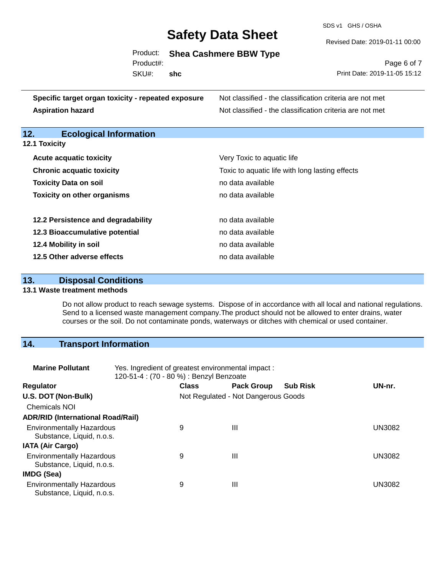SDS v1 GHS / OSHA

Revised Date: 2019-01-11 00:00

Product: **Shea Cashmere BBW Type**

Product#:

SKU#: **shc**

Page 6 of 7 Print Date: 2019-11-05 15:12

| Specific target organ toxicity - repeated exposure | Not classified - the classification criteria are not met |
|----------------------------------------------------|----------------------------------------------------------|
| <b>Aspiration hazard</b>                           | Not classified - the classification criteria are not met |

## **12. Ecological Information**

| 12.1 Toxicity |  |  |
|---------------|--|--|
|---------------|--|--|

| <b>Acute acquatic toxicity</b>     | Very Toxic to aquatic life                      |
|------------------------------------|-------------------------------------------------|
| <b>Chronic acquatic toxicity</b>   | Toxic to aquatic life with long lasting effects |
| <b>Toxicity Data on soil</b>       | no data available                               |
| <b>Toxicity on other organisms</b> | no data available                               |
|                                    |                                                 |
| 12.2 Persistence and degradability | no data available                               |
| 12.3 Bioaccumulative potential     | no data available                               |
| 12.4 Mobility in soil              | no data available                               |
| 12.5 Other adverse effects         | no data available                               |

## **13. Disposal Conditions**

#### **13.1 Waste treatment methods**

Do not allow product to reach sewage systems. Dispose of in accordance with all local and national regulations. Send to a licensed waste management company.The product should not be allowed to enter drains, water courses or the soil. Do not contaminate ponds, waterways or ditches with chemical or used container.

## **14. Transport Information**

| <b>Marine Pollutant</b>                                       | Yes. Ingredient of greatest environmental impact:<br>120-51-4 : (70 - 80 %) : Benzyl Benzoate |              |                                     |                 |               |
|---------------------------------------------------------------|-----------------------------------------------------------------------------------------------|--------------|-------------------------------------|-----------------|---------------|
| <b>Regulator</b>                                              |                                                                                               | <b>Class</b> | <b>Pack Group</b>                   | <b>Sub Risk</b> | UN-nr.        |
| U.S. DOT (Non-Bulk)                                           |                                                                                               |              | Not Regulated - Not Dangerous Goods |                 |               |
| <b>Chemicals NOI</b>                                          |                                                                                               |              |                                     |                 |               |
| <b>ADR/RID (International Road/Rail)</b>                      |                                                                                               |              |                                     |                 |               |
| <b>Environmentally Hazardous</b><br>Substance, Liquid, n.o.s. |                                                                                               | 9            | Ш                                   |                 | <b>UN3082</b> |
| <b>IATA (Air Cargo)</b>                                       |                                                                                               |              |                                     |                 |               |
| <b>Environmentally Hazardous</b><br>Substance, Liquid, n.o.s. |                                                                                               | 9            | Ш                                   |                 | <b>UN3082</b> |
| IMDG (Sea)                                                    |                                                                                               |              |                                     |                 |               |
| <b>Environmentally Hazardous</b><br>Substance, Liquid, n.o.s. |                                                                                               | 9            | Ш                                   |                 | UN3082        |